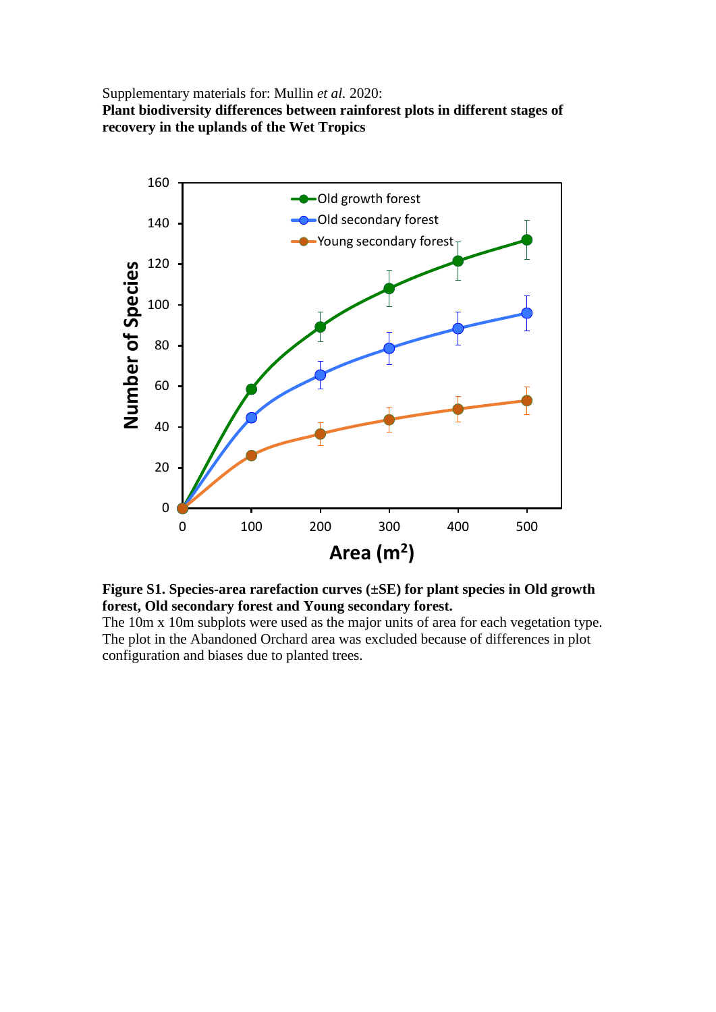Supplementary materials for: Mullin *et al.* 2020: **Plant biodiversity differences between rainforest plots in different stages of recovery in the uplands of the Wet Tropics**



**Figure S1. Species-area rarefaction curves (±SE) for plant species in Old growth forest, Old secondary forest and Young secondary forest.**

The 10m x 10m subplots were used as the major units of area for each vegetation type. The plot in the Abandoned Orchard area was excluded because of differences in plot configuration and biases due to planted trees.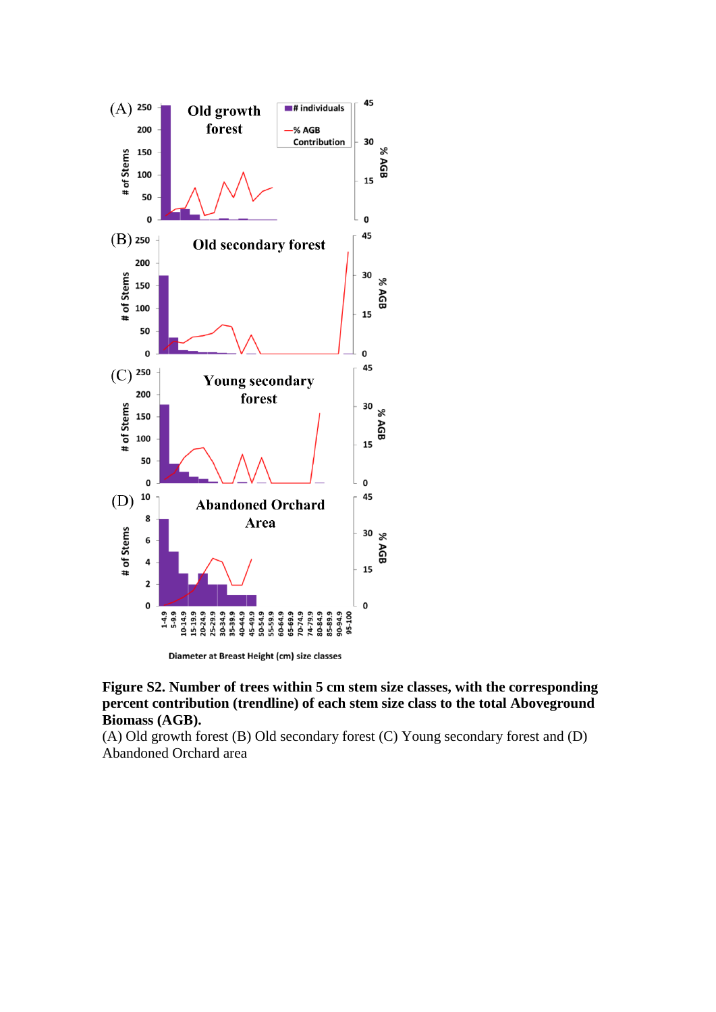

Diameter at Breast Height (cm) size classes

**Figure S2. Number of trees within 5 cm stem size classes, with the corresponding percent contribution (trendline) of each stem size class to the total Aboveground Biomass (AGB).** 

(A) Old growth forest (B) Old secondary forest (C) Young secondary forest and (D) Abandoned Orchard area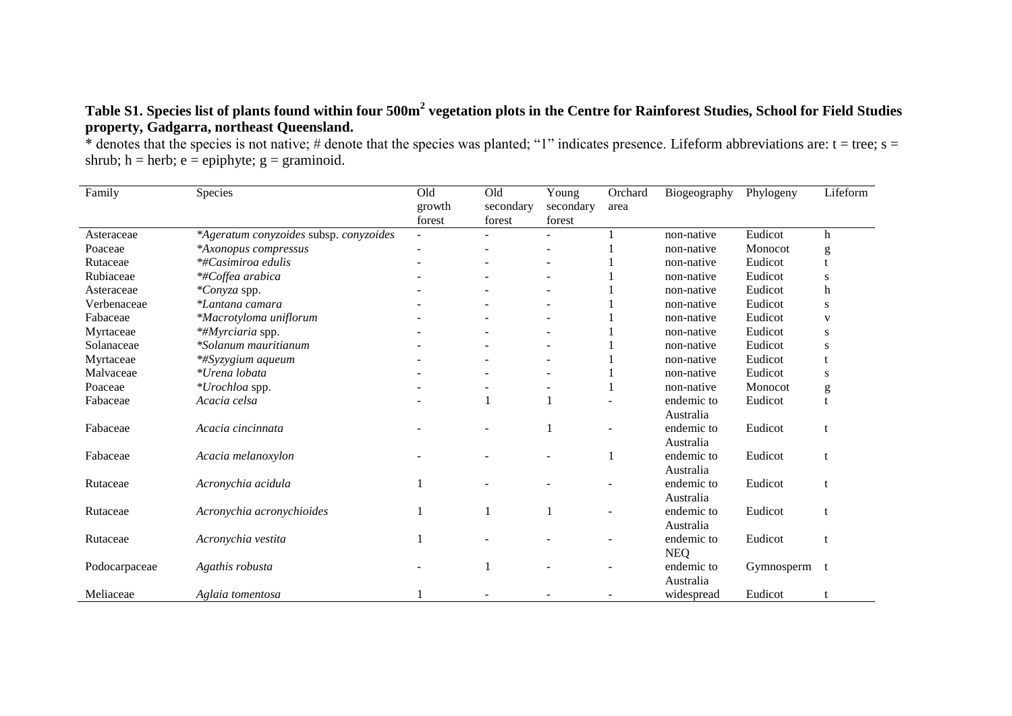## **Table S1. Species list of plants found within four 500m<sup>2</sup> vegetation plots in the Centre for Rainforest Studies, School for Field Studies property, Gadgarra, northeast Queensland.**

\* denotes that the species is not native; # denote that the species was planted; "1" indicates presence. Lifeform abbreviations are: t = tree; s = shrub; h = herb; e = epiphyte;  $g =$  graminoid.

| Family        | Species                                | Old<br>growth<br>forest | Old<br>secondary<br>forest | Young<br>secondary<br>forest | Orchard<br>area | Biogeography             | Phylogeny  | Lifeform                                                                                                                                                                                                                                                                                                                                                                                                                       |
|---------------|----------------------------------------|-------------------------|----------------------------|------------------------------|-----------------|--------------------------|------------|--------------------------------------------------------------------------------------------------------------------------------------------------------------------------------------------------------------------------------------------------------------------------------------------------------------------------------------------------------------------------------------------------------------------------------|
| Asteraceae    | *Ageratum conyzoides subsp. conyzoides |                         |                            |                              |                 | non-native               | Eudicot    | h                                                                                                                                                                                                                                                                                                                                                                                                                              |
| Poaceae       | *Axonopus compressus                   |                         |                            |                              |                 | non-native               | Monocot    | $\mathbf{g}% _{T}=\mathbf{g}_{T}=\mathbf{g}_{T}=\mathbf{g}_{T}=\mathbf{g}_{T}=\mathbf{g}_{T}=\mathbf{g}_{T}=\mathbf{g}_{T}=\mathbf{g}_{T}=\mathbf{g}_{T}=\mathbf{g}_{T}=\mathbf{g}_{T}=\mathbf{g}_{T}=\mathbf{g}_{T}=\mathbf{g}_{T}=\mathbf{g}_{T}=\mathbf{g}_{T}=\mathbf{g}_{T}=\mathbf{g}_{T}=\mathbf{g}_{T}=\mathbf{g}_{T}=\mathbf{g}_{T}=\mathbf{g}_{T}=\mathbf{g}_{T}=\mathbf{g}_{T}=\mathbf{g}_{T}=\mathbf{g}_{T}=\math$ |
| Rutaceae      | <i>*#Casimiroa edulis</i>              |                         |                            |                              |                 | non-native               | Eudicot    | t                                                                                                                                                                                                                                                                                                                                                                                                                              |
| Rubiaceae     | *#Coffea arabica                       |                         |                            |                              |                 | non-native               | Eudicot    | S                                                                                                                                                                                                                                                                                                                                                                                                                              |
| Asteraceae    | *Conyza spp.                           |                         |                            |                              |                 | non-native               | Eudicot    | h                                                                                                                                                                                                                                                                                                                                                                                                                              |
| Verbenaceae   | *Lantana camara                        |                         |                            |                              |                 | non-native               | Eudicot    | S                                                                                                                                                                                                                                                                                                                                                                                                                              |
| Fabaceae      | *Macrotyloma uniflorum                 |                         |                            |                              |                 | non-native               | Eudicot    | V                                                                                                                                                                                                                                                                                                                                                                                                                              |
| Myrtaceae     | *#Myrciaria spp.                       |                         |                            |                              |                 | non-native               | Eudicot    | S                                                                                                                                                                                                                                                                                                                                                                                                                              |
| Solanaceae    | *Solanum mauritianum                   |                         |                            |                              |                 | non-native               | Eudicot    | S                                                                                                                                                                                                                                                                                                                                                                                                                              |
| Myrtaceae     | *#Syzygium aqueum                      |                         |                            |                              |                 | non-native               | Eudicot    |                                                                                                                                                                                                                                                                                                                                                                                                                                |
| Malvaceae     | *Urena lobata                          |                         |                            |                              |                 | non-native               | Eudicot    | S                                                                                                                                                                                                                                                                                                                                                                                                                              |
| Poaceae       | *Urochloa spp.                         |                         |                            |                              |                 | non-native               | Monocot    | g                                                                                                                                                                                                                                                                                                                                                                                                                              |
| Fabaceae      | Acacia celsa                           |                         | 1                          |                              |                 | endemic to<br>Australia  | Eudicot    |                                                                                                                                                                                                                                                                                                                                                                                                                                |
| Fabaceae      | Acacia cincinnata                      |                         |                            |                              |                 | endemic to<br>Australia  | Eudicot    |                                                                                                                                                                                                                                                                                                                                                                                                                                |
| Fabaceae      | Acacia melanoxylon                     |                         |                            |                              |                 | endemic to<br>Australia  | Eudicot    | t                                                                                                                                                                                                                                                                                                                                                                                                                              |
| Rutaceae      | Acronychia acidula                     |                         |                            |                              |                 | endemic to<br>Australia  | Eudicot    | t                                                                                                                                                                                                                                                                                                                                                                                                                              |
| Rutaceae      | Acronychia acronychioides              |                         |                            |                              |                 | endemic to<br>Australia  | Eudicot    |                                                                                                                                                                                                                                                                                                                                                                                                                                |
| Rutaceae      | Acronychia vestita                     |                         |                            |                              |                 | endemic to<br><b>NEQ</b> | Eudicot    |                                                                                                                                                                                                                                                                                                                                                                                                                                |
| Podocarpaceae | Agathis robusta                        |                         | 1                          |                              |                 | endemic to<br>Australia  | Gymnosperm | t                                                                                                                                                                                                                                                                                                                                                                                                                              |
| Meliaceae     | Aglaia tomentosa                       |                         |                            |                              |                 | widespread               | Eudicot    |                                                                                                                                                                                                                                                                                                                                                                                                                                |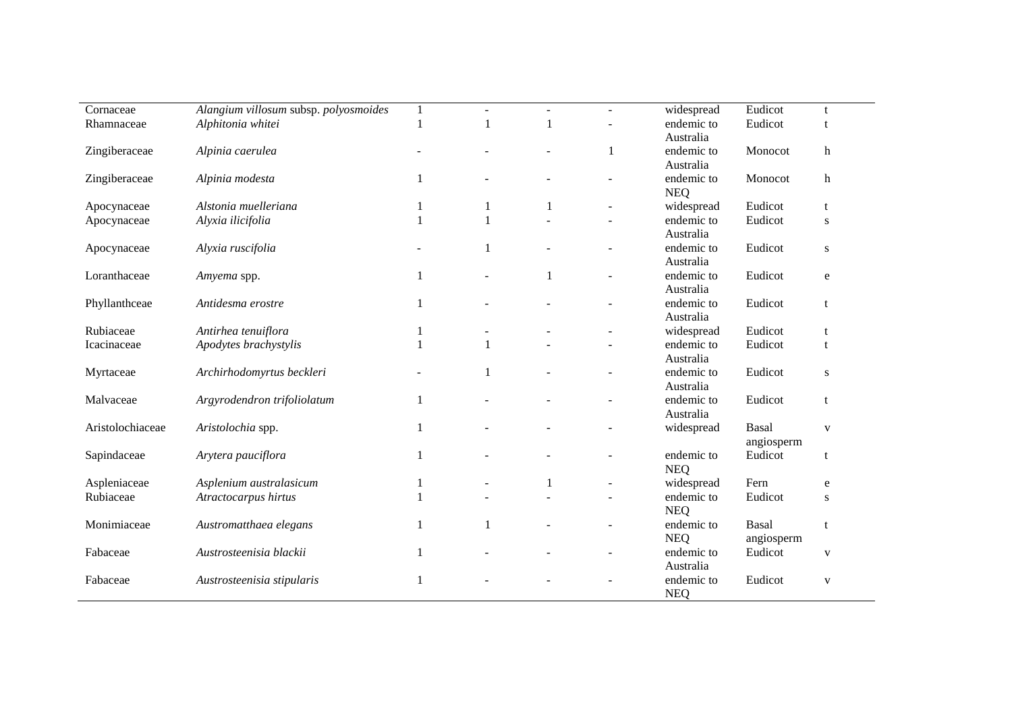| Cornaceae        | Alangium villosum subsp. polyosmoides | $\mathbf{1}$ | ÷.           | $\overline{a}$           | widespread | Eudicot      | t            |
|------------------|---------------------------------------|--------------|--------------|--------------------------|------------|--------------|--------------|
| Rhamnaceae       | Alphitonia whitei                     | 1            | $\mathbf{1}$ |                          | endemic to | Eudicot      | t            |
|                  |                                       |              |              |                          | Australia  |              |              |
| Zingiberaceae    | Alpinia caerulea                      |              |              | 1                        | endemic to | Monocot      | $\mathbf{h}$ |
|                  |                                       |              |              |                          | Australia  |              |              |
| Zingiberaceae    | Alpinia modesta                       | $\mathbf{1}$ |              |                          | endemic to | Monocot      | $\mathbf h$  |
|                  |                                       |              |              |                          | <b>NEQ</b> |              |              |
| Apocynaceae      | Alstonia muelleriana                  | 1            | 1            |                          | widespread | Eudicot      | t            |
|                  | Alyxia ilicifolia                     | 1            |              |                          | endemic to | Eudicot      |              |
| Apocynaceae      |                                       |              |              |                          | Australia  |              | S            |
|                  |                                       |              |              |                          | endemic to | Eudicot      |              |
| Apocynaceae      | Alyxia ruscifolia                     |              |              |                          | Australia  |              | ${\bf S}$    |
| Loranthaceae     |                                       |              | 1            |                          | endemic to | Eudicot      |              |
|                  | Amyema spp.                           | $\mathbf{1}$ |              | $\overline{\phantom{a}}$ |            |              | ${\bf e}$    |
|                  |                                       |              |              |                          | Australia  |              |              |
| Phyllanthceae    | Antidesma erostre                     | 1            |              |                          | endemic to | Eudicot      | t            |
|                  |                                       |              |              |                          | Australia  |              |              |
| Rubiaceae        | Antirhea tenuiflora                   | 1            |              |                          | widespread | Eudicot      | t            |
| Icacinaceae      | Apodytes brachystylis                 | 1            |              |                          | endemic to | Eudicot      | t            |
|                  |                                       |              |              |                          | Australia  |              |              |
| Myrtaceae        | Archirhodomyrtus beckleri             |              |              |                          | endemic to | Eudicot      | S            |
|                  |                                       |              |              |                          | Australia  |              |              |
| Malvaceae        | Argyrodendron trifoliolatum           | 1            |              |                          | endemic to | Eudicot      | t            |
|                  |                                       |              |              |                          | Australia  |              |              |
| Aristolochiaceae | Aristolochia spp.                     | 1            |              |                          | widespread | <b>Basal</b> | $\mathbf{V}$ |
|                  |                                       |              |              |                          |            | angiosperm   |              |
| Sapindaceae      | Arytera pauciflora                    | 1            |              |                          | endemic to | Eudicot      | t            |
|                  |                                       |              |              |                          | <b>NEQ</b> |              |              |
| Aspleniaceae     | Asplenium australasicum               | 1            |              |                          | widespread | Fern         | e            |
| Rubiaceae        | Atractocarpus hirtus                  | 1            |              |                          | endemic to | Eudicot      | S            |
|                  |                                       |              |              |                          | <b>NEQ</b> |              |              |
| Monimiaceae      | Austromatthaea elegans                | 1            |              |                          | endemic to | Basal        | t            |
|                  |                                       |              |              |                          | <b>NEQ</b> | angiosperm   |              |
| Fabaceae         | Austrosteenisia blackii               | $\mathbf{1}$ |              |                          | endemic to | Eudicot      | $\mathbf{V}$ |
|                  |                                       |              |              |                          | Australia  |              |              |
| Fabaceae         | Austrosteenisia stipularis            | 1            |              |                          | endemic to | Eudicot      | $\mathbf{V}$ |
|                  |                                       |              |              |                          | <b>NEQ</b> |              |              |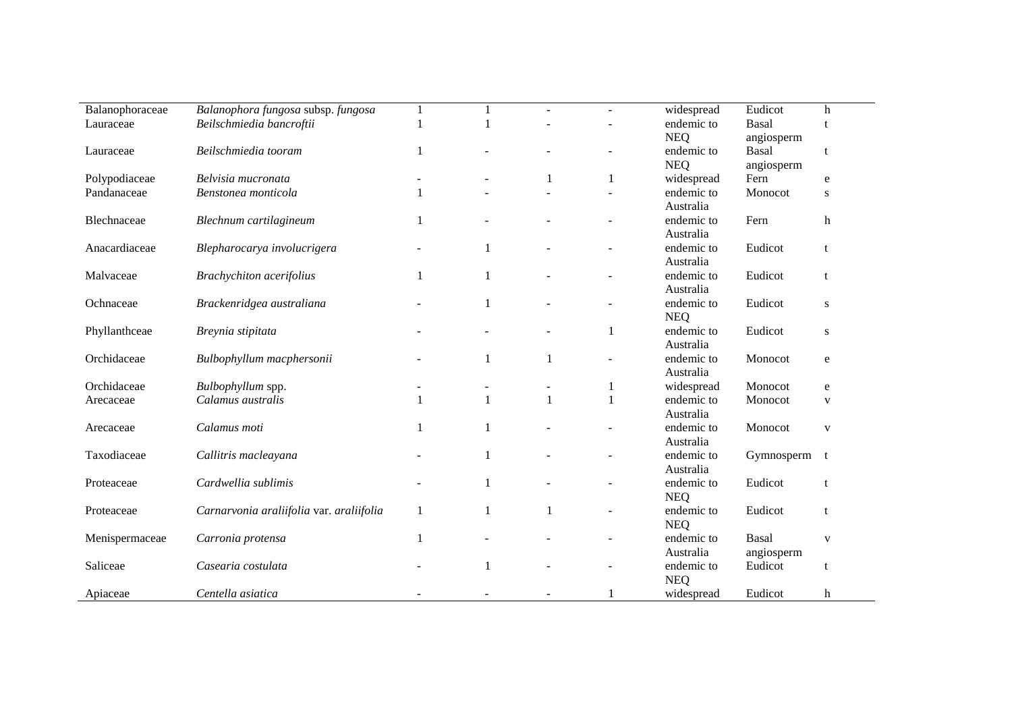| Balanophoraceae | Balanophora fungosa subsp. fungosa       | $\mathbf{1}$ |              | $\mathbf{r}$ | $\sim$                   | widespread | Eudicot      | h            |  |
|-----------------|------------------------------------------|--------------|--------------|--------------|--------------------------|------------|--------------|--------------|--|
| Lauraceae       | Beilschmiedia bancroftii                 | 1            |              |              |                          | endemic to | <b>Basal</b> |              |  |
|                 |                                          |              |              |              |                          | <b>NEQ</b> | angiosperm   |              |  |
| Lauraceae       | Beilschmiedia tooram                     | $\mathbf{1}$ |              |              | $\overline{a}$           | endemic to | <b>Basal</b> | t            |  |
|                 |                                          |              |              |              |                          | <b>NEQ</b> | angiosperm   |              |  |
| Polypodiaceae   | Belvisia mucronata                       |              |              |              | $\mathbf{1}$             | widespread | Fern         | e            |  |
| Pandanaceae     | Benstonea monticola                      | $\mathbf{1}$ |              |              |                          | endemic to | Monocot      | S            |  |
|                 |                                          |              |              |              |                          | Australia  |              |              |  |
| Blechnaceae     | Blechnum cartilagineum                   | 1            |              |              |                          | endemic to | Fern         | $\,h$        |  |
|                 |                                          |              |              |              |                          | Australia  |              |              |  |
| Anacardiaceae   | Blepharocarya involucrigera              |              | $\mathbf{1}$ |              |                          | endemic to | Eudicot      | t            |  |
|                 |                                          |              |              |              |                          | Australia  |              |              |  |
| Malvaceae       | <b>Brachychiton</b> acerifolius          | 1            | 1            |              | $\overline{a}$           | endemic to | Eudicot      | t            |  |
|                 |                                          |              |              |              |                          | Australia  |              |              |  |
| Ochnaceae       | Brackenridgea australiana                |              | 1            |              | $\overline{a}$           | endemic to | Eudicot      | ${\bf S}$    |  |
|                 |                                          |              |              |              |                          | <b>NEQ</b> |              |              |  |
| Phyllanthceae   | Breynia stipitata                        |              |              |              | 1                        | endemic to | Eudicot      | ${\bf S}$    |  |
|                 |                                          |              |              |              |                          | Australia  |              |              |  |
| Orchidaceae     | Bulbophyllum macphersonii                |              | 1            | 1            | $\overline{\phantom{a}}$ | endemic to | Monocot      | $\mathbf e$  |  |
|                 |                                          |              |              |              |                          | Australia  |              |              |  |
| Orchidaceae     | Bulbophyllum spp.                        |              |              |              | $\mathbf{1}$             | widespread | Monocot      | ${\bf e}$    |  |
| Arecaceae       | Calamus australis                        |              | $\mathbf{1}$ | $\mathbf{1}$ | $\mathbf{1}$             | endemic to | Monocot      | V            |  |
|                 |                                          |              |              |              |                          | Australia  |              |              |  |
| Arecaceae       | Calamus moti                             | 1            |              |              |                          | endemic to | Monocot      | $\mathbf{V}$ |  |
|                 |                                          |              |              |              |                          | Australia  |              |              |  |
| Taxodiaceae     | Callitris macleayana                     |              | $\mathbf{1}$ |              | $\overline{a}$           | endemic to | Gymnosperm   | t            |  |
|                 |                                          |              |              |              |                          | Australia  |              |              |  |
| Proteaceae      | Cardwellia sublimis                      |              | $\mathbf{1}$ |              | $\overline{a}$           | endemic to | Eudicot      | t            |  |
|                 |                                          |              |              |              |                          | <b>NEQ</b> |              |              |  |
| Proteaceae      | Carnarvonia araliifolia var. araliifolia | 1            |              | 1            | $\overline{a}$           | endemic to | Eudicot      | t            |  |
|                 |                                          |              |              |              |                          | <b>NEQ</b> |              |              |  |
| Menispermaceae  | Carronia protensa                        | 1            |              |              |                          | endemic to | <b>Basal</b> | $\mathbf{V}$ |  |
|                 |                                          |              |              |              |                          | Australia  | angiosperm   |              |  |
| Saliceae        | Casearia costulata                       |              | $\mathbf{1}$ |              |                          | endemic to | Eudicot      | t            |  |
|                 |                                          |              |              |              |                          | <b>NEQ</b> |              |              |  |
| Apiaceae        | Centella asiatica                        |              |              |              | 1                        | widespread | Eudicot      | h            |  |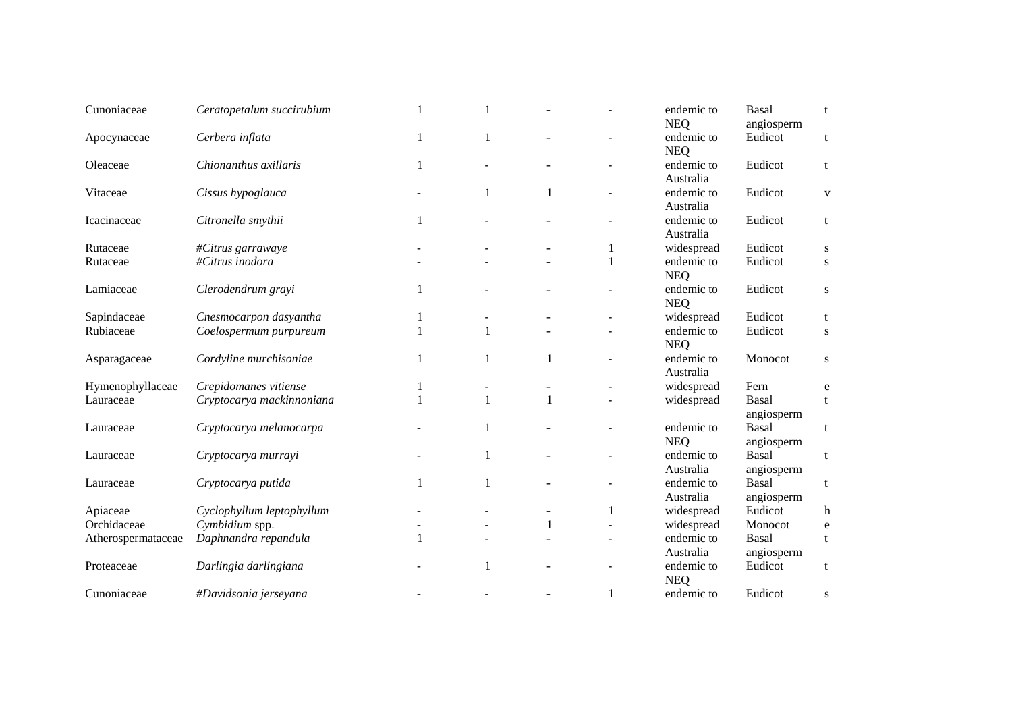| Cunoniaceae        | Ceratopetalum succirubium |              |   |              | endemic to               | <b>Basal</b> | t            |  |
|--------------------|---------------------------|--------------|---|--------------|--------------------------|--------------|--------------|--|
|                    |                           |              |   |              | <b>NEQ</b>               | angiosperm   |              |  |
| Apocynaceae        | Cerbera inflata           | 1            | 1 |              | endemic to<br><b>NEQ</b> | Eudicot      | t            |  |
| Oleaceae           | Chionanthus axillaris     | 1            |   |              | endemic to               | Eudicot      |              |  |
|                    |                           |              |   |              | Australia                |              | t            |  |
| Vitaceae           | Cissus hypoglauca         |              | 1 |              | endemic to               | Eudicot      | $\mathbf{V}$ |  |
|                    |                           |              |   |              | Australia                |              |              |  |
| Icacinaceae        | Citronella smythii        | $\mathbf{1}$ |   |              | endemic to               | Eudicot      | t            |  |
|                    |                           |              |   |              | Australia                |              |              |  |
| Rutaceae           | #Citrus garrawaye         |              |   | 1            | widespread               | Eudicot      | S            |  |
| Rutaceae           | #Citrus inodora           |              |   | $\mathbf{1}$ | endemic to               | Eudicot      | S            |  |
|                    |                           |              |   |              | <b>NEQ</b>               |              |              |  |
| Lamiaceae          | Clerodendrum grayi        | 1            |   |              | endemic to               | Eudicot      | ${\bf S}$    |  |
|                    |                           |              |   |              | <b>NEQ</b>               |              |              |  |
| Sapindaceae        | Cnesmocarpon dasyantha    | 1            |   |              | widespread               | Eudicot      | $\mathbf{t}$ |  |
| Rubiaceae          | Coelospermum purpureum    |              | 1 |              | endemic to               | Eudicot      | S            |  |
|                    |                           |              |   |              | <b>NEQ</b>               |              |              |  |
| Asparagaceae       | Cordyline murchisoniae    | 1            | 1 |              | endemic to               | Monocot      | ${\bf S}$    |  |
|                    |                           |              |   |              | Australia                |              |              |  |
| Hymenophyllaceae   | Crepidomanes vitiense     |              |   |              | widespread               | Fern         | e            |  |
| Lauraceae          | Cryptocarya mackinnoniana | $\mathbf{1}$ |   |              | widespread               | <b>Basal</b> |              |  |
|                    |                           |              |   |              |                          | angiosperm   |              |  |
| Lauraceae          | Cryptocarya melanocarpa   |              | 1 |              | endemic to               | <b>Basal</b> | $\mathbf{t}$ |  |
|                    |                           |              |   |              | <b>NEQ</b>               | angiosperm   |              |  |
| Lauraceae          | Cryptocarya murrayi       |              | 1 |              | endemic to               | Basal        | t            |  |
|                    |                           |              |   |              | Australia                | angiosperm   |              |  |
| Lauraceae          | Cryptocarya putida        | 1            |   |              | endemic to               | <b>Basal</b> | t            |  |
|                    |                           |              |   |              | Australia                | angiosperm   |              |  |
| Apiaceae           | Cyclophyllum leptophyllum |              |   | 1            | widespread               | Eudicot      | h            |  |
| Orchidaceae        | Cymbidium spp.            |              |   |              | widespread               | Monocot      | e            |  |
| Atherospermataceae | Daphnandra repandula      | 1            |   | $\sim$       | endemic to               | <b>Basal</b> | t            |  |
|                    |                           |              |   |              | Australia                | angiosperm   |              |  |
|                    |                           |              | 1 |              | endemic to               | Eudicot      |              |  |
| Proteaceae         | Darlingia darlingiana     |              |   |              | <b>NEQ</b>               |              | t            |  |
| Cunoniaceae        |                           |              |   | 1            | endemic to               | Eudicot      |              |  |
|                    | #Davidsonia jerseyana     |              |   |              |                          |              | S            |  |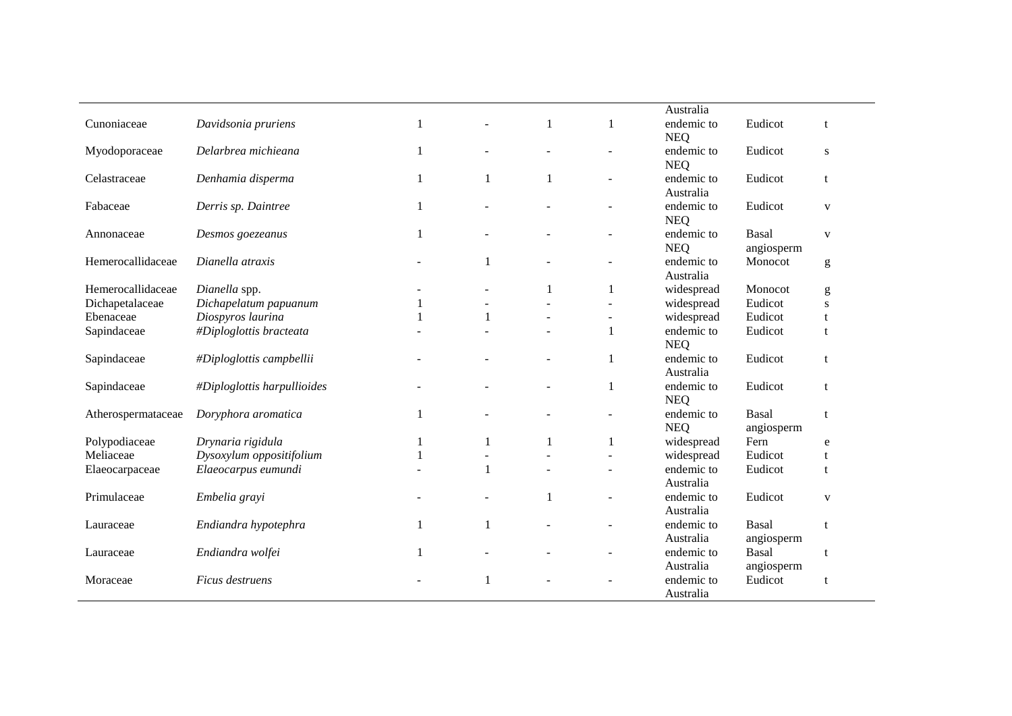|                    |                             |              |              |              |   | Australia                |                            |              |
|--------------------|-----------------------------|--------------|--------------|--------------|---|--------------------------|----------------------------|--------------|
| Cunoniaceae        | Davidsonia pruriens         |              |              |              |   | endemic to<br><b>NEQ</b> | Eudicot                    | t            |
| Myodoporaceae      | Delarbrea michieana         |              |              |              |   | endemic to<br><b>NEQ</b> | Eudicot                    | S            |
| Celastraceae       | Denhamia disperma           | 1            |              |              |   | endemic to<br>Australia  | Eudicot                    | t            |
| Fabaceae           | Derris sp. Daintree         | 1            |              |              |   | endemic to<br><b>NEQ</b> | Eudicot                    | $\mathbf{V}$ |
| Annonaceae         | Desmos goezeanus            | $\mathbf{1}$ |              |              |   | endemic to<br><b>NEQ</b> | Basal<br>angiosperm        | $\mathbf{V}$ |
| Hemerocallidaceae  | Dianella atraxis            |              |              |              |   | endemic to<br>Australia  | Monocot                    | g            |
| Hemerocallidaceae  | Dianella spp.               |              |              | $\mathbf{1}$ |   | widespread               | Monocot                    | g            |
| Dichapetalaceae    | Dichapelatum papuanum       |              |              |              |   | widespread               | Eudicot                    | S            |
| Ebenaceae          | Diospyros laurina           |              |              |              |   | widespread               | Eudicot                    | t            |
| Sapindaceae        | #Diploglottis bracteata     |              |              |              |   | endemic to<br><b>NEQ</b> | Eudicot                    | t            |
| Sapindaceae        | #Diploglottis campbellii    |              |              |              |   | endemic to<br>Australia  | Eudicot                    | $\mathbf t$  |
| Sapindaceae        | #Diploglottis harpullioides |              |              |              |   | endemic to<br><b>NEQ</b> | Eudicot                    | $\mathbf{f}$ |
| Atherospermataceae | Doryphora aromatica         | -1           |              |              |   | endemic to<br><b>NEQ</b> | Basal<br>angiosperm        | t            |
| Polypodiaceae      | Drynaria rigidula           | 1            | $\mathbf{1}$ | 1            | 1 | widespread               | Fern                       | ${\bf e}$    |
| Meliaceae          | Dysoxylum oppositifolium    | 1            |              |              |   | widespread               | Eudicot                    | $\mathbf t$  |
| Elaeocarpaceae     | Elaeocarpus eumundi         |              | $\mathbf{1}$ |              |   | endemic to<br>Australia  | Eudicot                    | t            |
| Primulaceae        | Embelia grayi               |              |              | $\mathbf{1}$ |   | endemic to<br>Australia  | Eudicot                    | $\mathbf{V}$ |
| Lauraceae          | Endiandra hypotephra        |              |              |              |   | endemic to<br>Australia  | Basal<br>angiosperm        | $\mathbf{f}$ |
| Lauraceae          | Endiandra wolfei            |              |              |              |   | endemic to<br>Australia  | <b>Basal</b><br>angiosperm | t            |
| Moraceae           | Ficus destruens             |              |              |              |   | endemic to<br>Australia  | Eudicot                    | t            |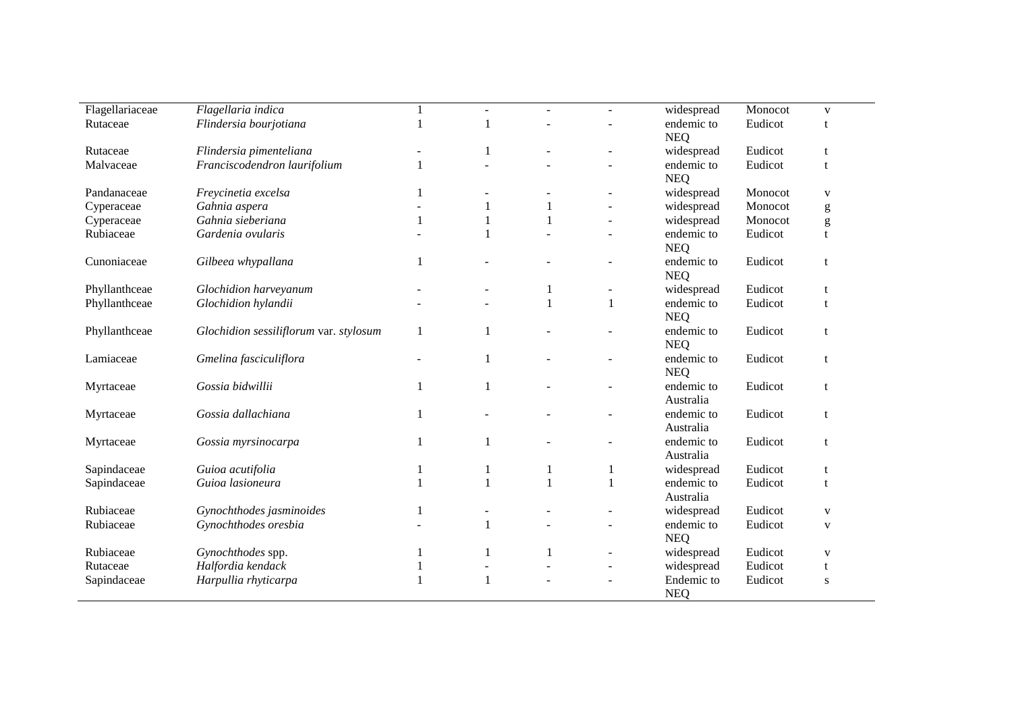| Flagellariaceae | Flagellaria indica                     |   | $\sim$       | $\mathbf{r}$ | $\sim$                   | widespread | Monocot | $\mathbf{V}$ |  |
|-----------------|----------------------------------------|---|--------------|--------------|--------------------------|------------|---------|--------------|--|
| Rutaceae        | Flindersia bourjotiana                 | 1 |              |              |                          | endemic to | Eudicot |              |  |
|                 |                                        |   |              |              |                          | <b>NEQ</b> |         |              |  |
| Rutaceae        | Flindersia pimenteliana                |   | 1            |              |                          | widespread | Eudicot | t            |  |
| Malvaceae       | Franciscodendron laurifolium           | 1 |              |              | $\overline{a}$           | endemic to | Eudicot | t            |  |
|                 |                                        |   |              |              |                          | <b>NEQ</b> |         |              |  |
| Pandanaceae     | Freycinetia excelsa                    | 1 |              |              | $\overline{\phantom{a}}$ | widespread | Monocot | $\mathbf{V}$ |  |
| Cyperaceae      | Gahnia aspera                          |   |              |              | $\overline{a}$           | widespread | Monocot | g            |  |
| Cyperaceae      | Gahnia sieberiana                      | 1 |              |              |                          | widespread | Monocot | g            |  |
| Rubiaceae       | Gardenia ovularis                      |   |              |              |                          | endemic to | Eudicot | t            |  |
|                 |                                        |   |              |              |                          | <b>NEQ</b> |         |              |  |
| Cunoniaceae     | Gilbeea whypallana                     | 1 |              |              |                          | endemic to | Eudicot | t            |  |
|                 |                                        |   |              |              |                          | <b>NEQ</b> |         |              |  |
| Phyllanthceae   | Glochidion harveyanum                  |   |              |              | $\overline{\phantom{a}}$ | widespread | Eudicot | t            |  |
| Phyllanthceae   | Glochidion hylandii                    |   |              | 1            | 1                        | endemic to | Eudicot | t            |  |
|                 |                                        |   |              |              |                          | <b>NEQ</b> |         |              |  |
| Phyllanthceae   | Glochidion sessiliflorum var. stylosum | 1 |              |              |                          | endemic to | Eudicot | t            |  |
|                 |                                        |   |              |              |                          | <b>NEQ</b> |         |              |  |
| Lamiaceae       | Gmelina fasciculiflora                 |   |              |              | $\overline{\phantom{a}}$ | endemic to | Eudicot | t            |  |
|                 |                                        |   |              |              |                          | <b>NEQ</b> |         |              |  |
| Myrtaceae       | Gossia bidwillii                       | 1 |              |              | $\overline{\phantom{a}}$ | endemic to | Eudicot | t            |  |
|                 |                                        |   |              |              |                          | Australia  |         |              |  |
| Myrtaceae       | Gossia dallachiana                     | 1 |              |              |                          | endemic to | Eudicot | t            |  |
|                 |                                        |   |              |              |                          | Australia  |         |              |  |
| Myrtaceae       | Gossia myrsinocarpa                    | 1 |              |              |                          | endemic to | Eudicot | t            |  |
|                 |                                        |   |              |              |                          | Australia  |         |              |  |
| Sapindaceae     | Guioa acutifolia                       | 1 |              | 1            | 1                        | widespread | Eudicot | t            |  |
| Sapindaceae     | Guioa lasioneura                       | 1 | $\mathbf{1}$ | $\mathbf{1}$ | $\mathbf{1}$             | endemic to | Eudicot | $\mathbf{f}$ |  |
|                 |                                        |   |              |              |                          | Australia  |         |              |  |
| Rubiaceae       | Gynochthodes jasminoides               | 1 |              |              |                          | widespread | Eudicot | $\mathbf{V}$ |  |
| Rubiaceae       | Gynochthodes oresbia                   |   |              |              |                          | endemic to | Eudicot | $\mathbf{V}$ |  |
|                 |                                        |   |              |              |                          | <b>NEQ</b> |         |              |  |
| Rubiaceae       | Gynochthodes spp.                      | 1 |              |              | $\overline{a}$           | widespread | Eudicot | V            |  |
| Rutaceae        | Halfordia kendack                      | 1 |              |              | $\overline{\phantom{a}}$ | widespread | Eudicot | t            |  |
| Sapindaceae     | Harpullia rhyticarpa                   | 1 |              |              |                          | Endemic to | Eudicot | S            |  |
|                 |                                        |   |              |              |                          | <b>NEQ</b> |         |              |  |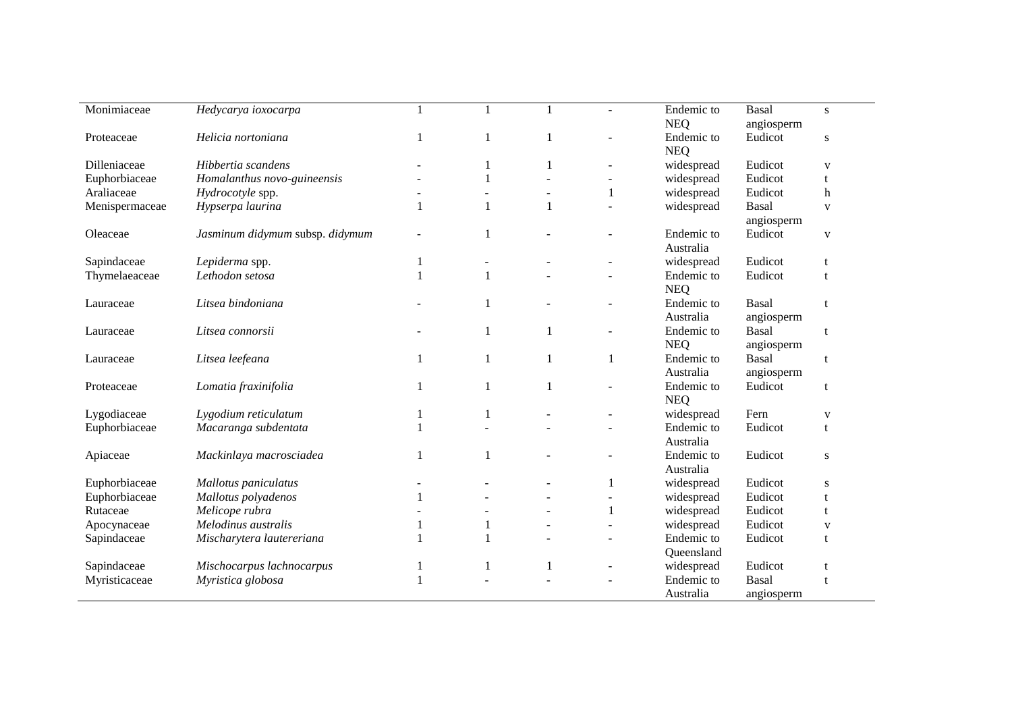| Monimiaceae    |                                 |              |              |              |                          | Endemic to | <b>Basal</b> |              |
|----------------|---------------------------------|--------------|--------------|--------------|--------------------------|------------|--------------|--------------|
|                | Hedycarya ioxocarpa             |              |              |              |                          |            |              | S            |
|                |                                 |              |              |              |                          | <b>NEQ</b> | angiosperm   |              |
| Proteaceae     | Helicia nortoniana              | 1            | 1            |              |                          | Endemic to | Eudicot      | ${\bf S}$    |
|                |                                 |              |              |              |                          | <b>NEQ</b> |              |              |
| Dilleniaceae   | Hibbertia scandens              |              |              |              |                          | widespread | Eudicot      | $\mathbf{V}$ |
| Euphorbiaceae  | Homalanthus novo-guineensis     |              |              |              |                          | widespread | Eudicot      | t            |
| Araliaceae     | Hydrocotyle spp.                |              |              |              |                          | widespread | Eudicot      | $\mathbf h$  |
| Menispermaceae | Hypserpa laurina                |              |              |              |                          | widespread | Basal        | $\mathbf{V}$ |
|                |                                 |              |              |              |                          |            | angiosperm   |              |
| Oleaceae       | Jasminum didymum subsp. didymum |              | 1            |              |                          | Endemic to | Eudicot      | $\mathbf{V}$ |
|                |                                 |              |              |              |                          | Australia  |              |              |
| Sapindaceae    | Lepiderma spp.                  | 1            | ÷,           |              |                          | widespread | Eudicot      | t            |
| Thymelaeaceae  | Lethodon setosa                 | $\mathbf{1}$ | $\mathbf{1}$ |              |                          | Endemic to | Eudicot      | $\mathbf{f}$ |
|                |                                 |              |              |              |                          | <b>NEQ</b> |              |              |
| Lauraceae      | Litsea bindoniana               |              | 1            |              |                          | Endemic to | Basal        | $\mathbf{t}$ |
|                |                                 |              |              |              |                          | Australia  | angiosperm   |              |
| Lauraceae      | Litsea connorsii                |              | 1            | $\mathbf{1}$ | $\overline{\phantom{a}}$ | Endemic to | <b>Basal</b> | t            |
|                |                                 |              |              |              |                          | <b>NEQ</b> |              |              |
|                |                                 |              |              |              |                          |            | angiosperm   |              |
| Lauraceae      | Litsea leefeana                 | 1            | 1            |              |                          | Endemic to | <b>Basal</b> | t            |
|                |                                 |              |              |              |                          | Australia  | angiosperm   |              |
| Proteaceae     | Lomatia fraxinifolia            | 1            | 1            |              |                          | Endemic to | Eudicot      | t            |
|                |                                 |              |              |              |                          | <b>NEQ</b> |              |              |
| Lygodiaceae    | Lygodium reticulatum            |              |              |              |                          | widespread | Fern         | V            |
| Euphorbiaceae  | Macaranga subdentata            | 1            |              |              |                          | Endemic to | Eudicot      | t            |
|                |                                 |              |              |              |                          | Australia  |              |              |
| Apiaceae       | Mackinlaya macrosciadea         | $\mathbf{1}$ |              |              |                          | Endemic to | Eudicot      | ${\bf S}$    |
|                |                                 |              |              |              |                          | Australia  |              |              |
| Euphorbiaceae  | Mallotus paniculatus            |              |              |              |                          | widespread | Eudicot      | S            |
| Euphorbiaceae  | Mallotus polyadenos             | $\mathbf{1}$ |              |              | $\overline{a}$           | widespread | Eudicot      |              |
| Rutaceae       | Melicope rubra                  |              |              |              |                          | widespread | Eudicot      |              |
| Apocynaceae    | Melodinus australis             | 1            |              |              |                          | widespread | Eudicot      | V            |
| Sapindaceae    | Mischarytera lautereriana       | 1            |              |              |                          | Endemic to | Eudicot      | t            |
|                |                                 |              |              |              |                          | Queensland |              |              |
| Sapindaceae    | Mischocarpus lachnocarpus       | 1            |              | 1            |                          | widespread | Eudicot      | t            |
| Myristicaceae  | Myristica globosa               | 1            |              |              |                          | Endemic to | Basal        | t            |
|                |                                 |              |              |              |                          |            |              |              |
|                |                                 |              |              |              |                          | Australia  | angiosperm   |              |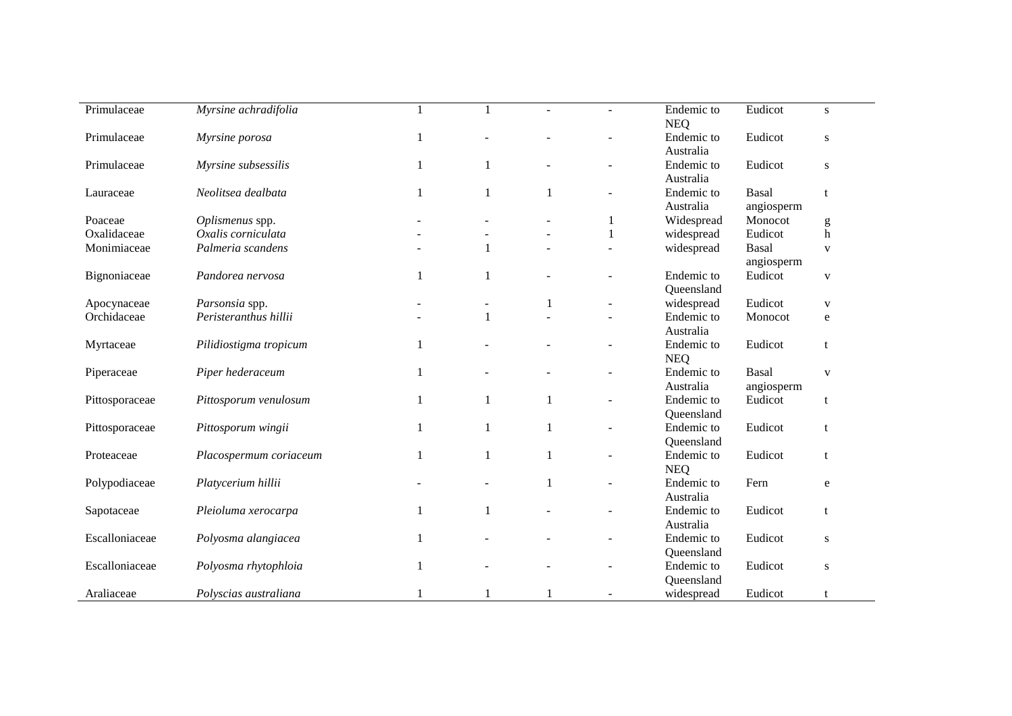| Primulaceae    | Myrsine achradifolia   |              |              |                          | Endemic to<br><b>NEQ</b> | Eudicot                    | S            |
|----------------|------------------------|--------------|--------------|--------------------------|--------------------------|----------------------------|--------------|
| Primulaceae    | Myrsine porosa         | 1            |              |                          | Endemic to<br>Australia  | Eudicot                    | ${\bf S}$    |
| Primulaceae    | Myrsine subsessilis    |              |              |                          | Endemic to<br>Australia  | Eudicot                    | ${\bf S}$    |
| Lauraceae      | Neolitsea dealbata     | 1            |              |                          | Endemic to               | Basal                      | t            |
|                |                        |              |              |                          | Australia                | angiosperm                 |              |
| Poaceae        | Oplismenus spp.        |              |              | 1                        | Widespread               | Monocot                    | g            |
| Oxalidaceae    | Oxalis corniculata     |              |              | $\mathbf{1}$             | widespread               | Eudicot                    | h            |
| Monimiaceae    | Palmeria scandens      |              | $\mathbf{1}$ |                          | widespread               | <b>Basal</b><br>angiosperm | $\mathbf{V}$ |
| Bignoniaceae   | Pandorea nervosa       | $\mathbf{1}$ | 1            | ÷,                       | Endemic to<br>Queensland | Eudicot                    | $\mathbf{V}$ |
| Apocynaceae    | Parsonsia spp.         |              |              | $\overline{\phantom{a}}$ | widespread               | Eudicot                    | $\mathbf{V}$ |
| Orchidaceae    | Peristeranthus hillii  |              |              |                          | Endemic to               | Monocot                    | e            |
|                |                        |              |              |                          | Australia                |                            |              |
| Myrtaceae      | Pilidiostigma tropicum | $\mathbf{1}$ |              | $\overline{\phantom{a}}$ | Endemic to               | Eudicot                    | t            |
| Piperaceae     | Piper hederaceum       | $\mathbf{1}$ |              | $\overline{a}$           | <b>NEQ</b><br>Endemic to | <b>Basal</b>               | $\mathbf{V}$ |
|                |                        |              |              |                          | Australia                | angiosperm                 |              |
| Pittosporaceae | Pittosporum venulosum  | $\mathbf{1}$ | 1            | $\overline{\phantom{a}}$ | Endemic to               | Eudicot                    | t            |
|                |                        |              |              |                          | Queensland               |                            |              |
| Pittosporaceae | Pittosporum wingii     | 1            |              | $\overline{\phantom{a}}$ | Endemic to               | Eudicot                    | t            |
|                |                        |              |              |                          | Queensland               |                            |              |
| Proteaceae     | Placospermum coriaceum | $\mathbf{1}$ | 1            |                          | Endemic to               | Eudicot                    | t            |
|                |                        |              |              |                          | <b>NEQ</b>               |                            |              |
| Polypodiaceae  | Platycerium hillii     |              |              | ÷,                       | Endemic to               | Fern                       | $\mathbf e$  |
|                |                        |              |              |                          | Australia                |                            |              |
| Sapotaceae     | Pleioluma xerocarpa    | $\mathbf{1}$ | 1            | $\overline{a}$           | Endemic to               | Eudicot                    | t            |
|                |                        |              |              |                          | Australia                |                            |              |
| Escalloniaceae | Polyosma alangiacea    | $\mathbf{1}$ |              |                          | Endemic to               | Eudicot                    | ${\bf S}$    |
|                |                        |              |              |                          | Queensland               |                            |              |
| Escalloniaceae | Polyosma rhytophloia   | 1            |              |                          | Endemic to               | Eudicot                    | S            |
|                |                        |              |              |                          | Queensland               |                            |              |
| Araliaceae     | Polyscias australiana  |              |              |                          | widespread               | Eudicot                    | t            |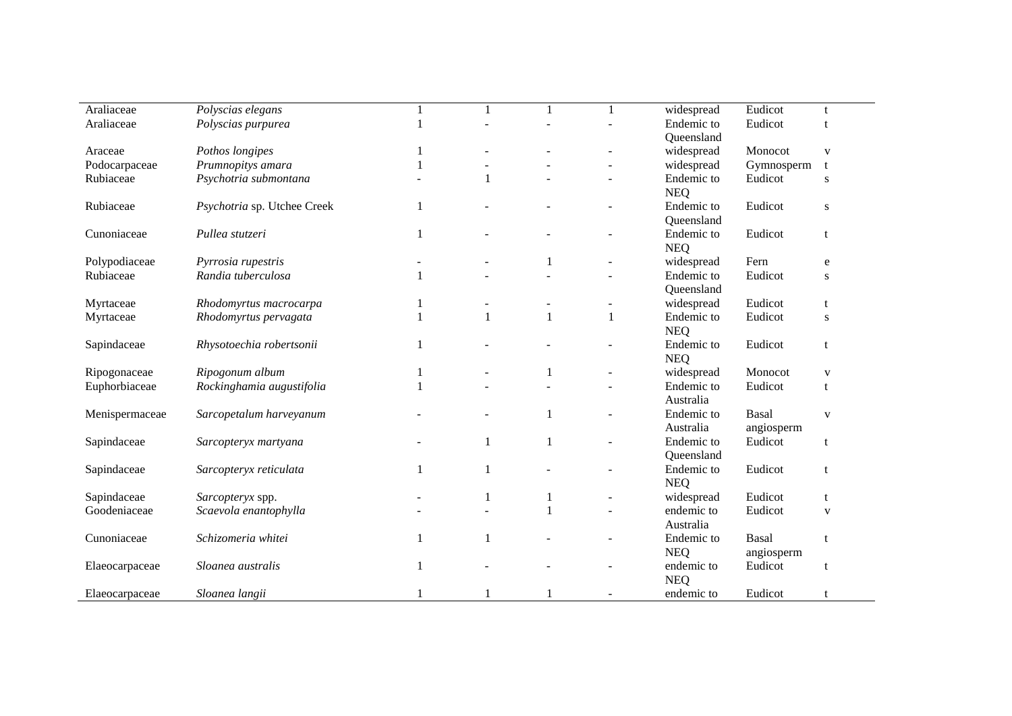| Araliaceae     | Polyscias elegans           |              |              |                          | widespread | Eudicot    | t            |  |
|----------------|-----------------------------|--------------|--------------|--------------------------|------------|------------|--------------|--|
| Araliaceae     | Polyscias purpurea          |              |              |                          | Endemic to | Eudicot    | $\mathbf t$  |  |
|                |                             |              |              |                          | Queensland |            |              |  |
| Araceae        | Pothos longipes             |              |              |                          | widespread | Monocot    | $\mathbf{V}$ |  |
| Podocarpaceae  | Prumnopitys amara           |              |              |                          | widespread | Gymnosperm | t            |  |
| Rubiaceae      | Psychotria submontana       |              |              |                          | Endemic to | Eudicot    | ${\bf S}$    |  |
|                |                             |              |              |                          | <b>NEQ</b> |            |              |  |
| Rubiaceae      | Psychotria sp. Utchee Creek | 1            |              |                          | Endemic to | Eudicot    | ${\bf S}$    |  |
|                |                             |              |              |                          | Queensland |            |              |  |
| Cunoniaceae    | Pullea stutzeri             | 1            |              |                          | Endemic to | Eudicot    | t            |  |
|                |                             |              |              |                          | <b>NEQ</b> |            |              |  |
| Polypodiaceae  | Pyrrosia rupestris          |              | $\mathbf{1}$ |                          | widespread | Fern       | e            |  |
| Rubiaceae      | Randia tuberculosa          | 1            |              |                          | Endemic to | Eudicot    | S            |  |
|                |                             |              |              |                          | Queensland |            |              |  |
| Myrtaceae      | Rhodomyrtus macrocarpa      |              |              | $\overline{\phantom{a}}$ | widespread | Eudicot    | t            |  |
| Myrtaceae      | Rhodomyrtus pervagata       |              | $\mathbf{1}$ | $\mathbf{1}$             | Endemic to | Eudicot    | ${\bf S}$    |  |
|                |                             |              |              |                          | <b>NEQ</b> |            |              |  |
| Sapindaceae    | Rhysotoechia robertsonii    | 1            |              |                          | Endemic to | Eudicot    | t            |  |
|                |                             |              |              |                          | <b>NEQ</b> |            |              |  |
| Ripogonaceae   | Ripogonum album             | $\mathbf{1}$ | $\mathbf{1}$ | $\overline{\phantom{a}}$ | widespread | Monocot    | $\mathbf{V}$ |  |
| Euphorbiaceae  | Rockinghamia augustifolia   | $\mathbf{1}$ |              |                          | Endemic to | Eudicot    | $\mathbf{t}$ |  |
|                |                             |              |              |                          | Australia  |            |              |  |
| Menispermaceae | Sarcopetalum harveyanum     |              | $\mathbf{1}$ | $\overline{\phantom{a}}$ | Endemic to | Basal      | $\mathbf{V}$ |  |
|                |                             |              |              |                          | Australia  | angiosperm |              |  |
| Sapindaceae    | Sarcopteryx martyana        |              | $\mathbf{1}$ |                          | Endemic to | Eudicot    | t            |  |
|                |                             |              |              |                          | Queensland |            |              |  |
| Sapindaceae    | Sarcopteryx reticulata      | 1            |              |                          | Endemic to | Eudicot    | t            |  |
|                |                             |              |              |                          | <b>NEQ</b> |            |              |  |
| Sapindaceae    | Sarcopteryx spp.            |              | -1           | $\blacksquare$           | widespread | Eudicot    | t            |  |
| Goodeniaceae   | Scaevola enantophylla       |              | $\mathbf{1}$ |                          | endemic to | Eudicot    | $\mathbf{V}$ |  |
|                |                             |              |              |                          | Australia  |            |              |  |
| Cunoniaceae    | Schizomeria whitei          | $\mathbf{1}$ |              |                          | Endemic to | Basal      | t            |  |
|                |                             |              |              |                          | <b>NEQ</b> | angiosperm |              |  |
| Elaeocarpaceae | Sloanea australis           | 1            |              |                          | endemic to | Eudicot    | t            |  |
|                |                             |              |              |                          | <b>NEQ</b> |            |              |  |
| Elaeocarpaceae | Sloanea langii              |              |              |                          | endemic to | Eudicot    | t            |  |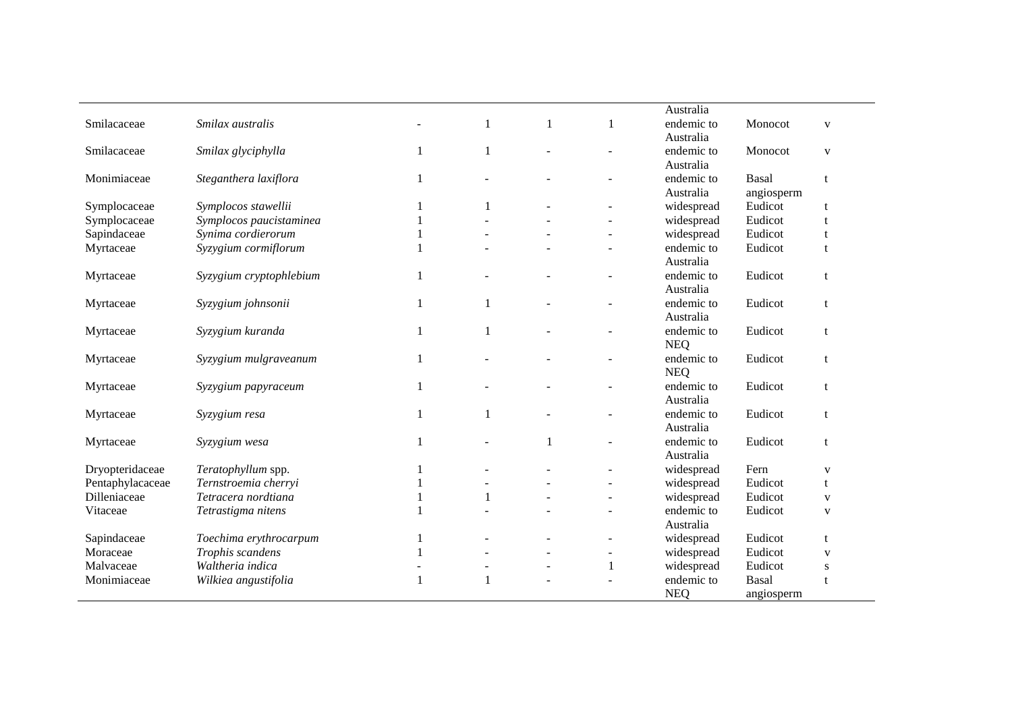|                  |                         |              |                          | Australia                |            |              |
|------------------|-------------------------|--------------|--------------------------|--------------------------|------------|--------------|
| Smilacaceae      | Smilax australis        | 1            | 1                        | endemic to               | Monocot    | $\mathbf{V}$ |
|                  |                         |              |                          | Australia                |            |              |
| Smilacaceae      | Smilax glyciphylla      | $\mathbf{1}$ |                          | endemic to               | Monocot    | $\mathbf{V}$ |
|                  |                         |              |                          | Australia                |            |              |
| Monimiaceae      | Steganthera laxiflora   |              |                          | endemic to               | Basal      | t            |
|                  |                         |              |                          | Australia                | angiosperm |              |
| Symplocaceae     | Symplocos stawellii     |              |                          | widespread               | Eudicot    |              |
| Symplocaceae     | Symplocos paucistaminea |              |                          | widespread               | Eudicot    |              |
| Sapindaceae      | Synima cordierorum      |              |                          | widespread               | Eudicot    |              |
| Myrtaceae        | Syzygium cormiflorum    |              |                          | endemic to               | Eudicot    | t            |
|                  |                         |              |                          | Australia                |            |              |
| Myrtaceae        | Syzygium cryptophlebium |              | $\overline{\phantom{a}}$ | endemic to               | Eudicot    | t            |
|                  |                         |              |                          | Australia                |            |              |
| Myrtaceae        | Syzygium johnsonii      | -1           |                          | endemic to               | Eudicot    | t            |
|                  |                         |              |                          | Australia                |            |              |
| Myrtaceae        | Syzygium kuranda        | 1            |                          | endemic to               | Eudicot    | t            |
|                  |                         |              |                          | <b>NEQ</b>               |            |              |
| Myrtaceae        | Syzygium mulgraveanum   |              |                          | endemic to               | Eudicot    | t            |
|                  |                         |              |                          | <b>NEQ</b>               |            |              |
| Myrtaceae        | Syzygium papyraceum     |              | $\blacksquare$           | endemic to               | Eudicot    | t            |
|                  |                         |              |                          | Australia                |            |              |
| Myrtaceae        | Syzygium resa           | $\mathbf{1}$ |                          | endemic to               | Eudicot    | t            |
|                  |                         |              |                          | Australia                |            |              |
| Myrtaceae        | Syzygium wesa           |              |                          | endemic to               | Eudicot    | t            |
|                  |                         |              |                          | Australia                |            |              |
| Dryopteridaceae  | Teratophyllum spp.      |              |                          | widespread               | Fern       | $\mathbf{V}$ |
| Pentaphylacaceae | Ternstroemia cherryi    |              |                          | widespread               | Eudicot    | t            |
| Dilleniaceae     | Tetracera nordtiana     |              |                          | widespread               | Eudicot    | V            |
| Vitaceae         | Tetrastigma nitens      |              |                          | endemic to               | Eudicot    | V            |
|                  |                         |              |                          | Australia                |            |              |
| Sapindaceae      | Toechima erythrocarpum  |              |                          | widespread               | Eudicot    | t            |
| Moraceae         | Trophis scandens        |              |                          | widespread               | Eudicot    | V            |
| Malvaceae        | Waltheria indica        |              |                          |                          | Eudicot    |              |
| Monimiaceae      |                         |              | $\mathbf{1}$             | widespread<br>endemic to | Basal      | S            |
|                  | Wilkiea angustifolia    |              |                          |                          |            | t            |
|                  |                         |              |                          | <b>NEQ</b>               | angiosperm |              |